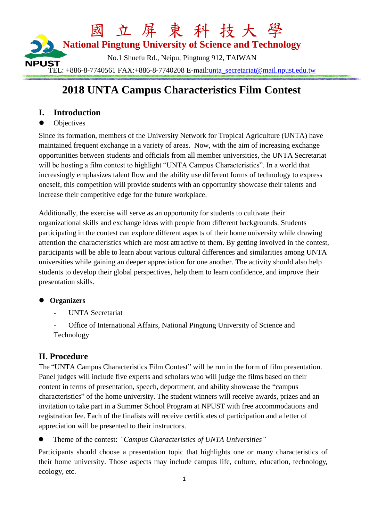

# **2018 UNTA Campus Characteristics Film Contest**

#### **I. Introduction**

**Objectives** 

Since its formation, members of the University Network for Tropical Agriculture (UNTA) have maintained frequent exchange in a variety of areas. Now, with the aim of increasing exchange opportunities between students and officials from all member universities, the UNTA Secretariat will be hosting a film contest to highlight "UNTA Campus Characteristics". In a world that increasingly emphasizes talent flow and the ability use different forms of technology to express oneself, this competition will provide students with an opportunity showcase their talents and increase their competitive edge for the future workplace.

Additionally, the exercise will serve as an opportunity for students to cultivate their organizational skills and exchange ideas with people from different backgrounds. Students participating in the contest can explore different aspects of their home university while drawing attention the characteristics which are most attractive to them. By getting involved in the contest, participants will be able to learn about various cultural differences and similarities among UNTA universities while gaining an deeper appreciation for one another. The activity should also help students to develop their global perspectives, help them to learn confidence, and improve their presentation skills.

#### **Organizers**

- UNTA Secretariat

- Office of International Affairs, National Pingtung University of Science and Technology

#### **II. Procedure**

The "UNTA Campus Characteristics Film Contest" will be run in the form of film presentation. Panel judges will include five experts and scholars who will judge the films based on their content in terms of presentation, speech, deportment, and ability showcase the "campus characteristics" of the home university. The student winners will receive awards, prizes and an invitation to take part in a Summer School Program at NPUST with free accommodations and registration fee. Each of the finalists will receive certificates of participation and a letter of appreciation will be presented to their instructors.

Theme of the contest: *"Campus Characteristics of UNTA Universities"*

Participants should choose a presentation topic that highlights one or many characteristics of their home university. Those aspects may include campus life, culture, education, technology, ecology, etc.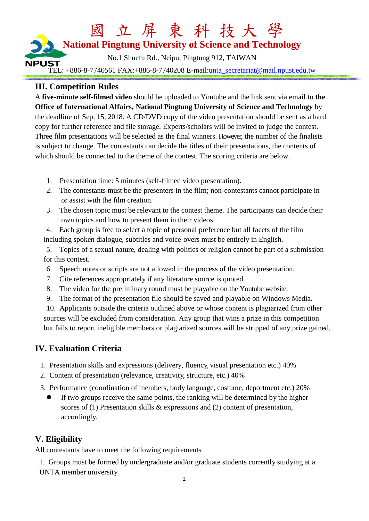# 國 立 屏 東 科 技大 學 **National Pingtung University of Science and Technology** No.1 Shuefu Rd., Neipu, Pingtung 912, TAIWAN **NPUST** TEL: +886-8-7740561 FAX:+886-8-7740208 E-mail[:unta\\_secretariat@mail.npust.edu.tw](mailto:unta_secretariat@mail.npust.edu.tw)

### **III. Competition Rules**

A **five-minute self-filmed video** should be uploaded to Youtube and the link sent via email to **the Office of International Affairs, National Pingtung University of Science and Technology** by the deadline of Sep. 15, 2018. A CD/DVD copy of the video presentation should be sent as a hard copy for further reference and file storage. Experts/scholars will be invited to judge the contest. Three film presentations will be selected as the final winners. However, the number of the finalists is subject to change. The contestants can decide the titles of their presentations, the contents of which should be connected to the theme of the contest. The scoring criteria are below.

- 1. Presentation time: 5 minutes (self-filmed video presentation).
- 2. The contestants must be the presenters in the film; non-contestants cannot participate in or assist with the film creation.
- 3. The chosen topic must be relevant to the contest theme. The participants can decide their own topics and how to present them in their videos.
- 4. Each group is free to select a topic of personal preference but all facets of the film including spoken dialogue, subtitles and voice-overs must be entirely in English.
- 5. Topics of a sexual nature, dealing with politics or religion cannot be part of a submission for this contest.
- 6. Speech notes or scripts are not allowed in the process of the video presentation.
- 7. Cite references appropriately if any literature source is quoted.
- 8. The video for the preliminary round must be playable on the Youtube website.
- 9. The format of the presentation file should be saved and playable on Windows Media.

10. Applicants outside the criteria outlined above or whose content is plagiarized from other sources will be excluded from consideration. Any group that wins a prize in this competition but fails to report ineligible members or plagiarized sources will be stripped of any prize gained.

#### **IV. Evaluation Criteria**

- 1. Presentation skills and expressions (delivery, fluency, visual presentation etc.) 40%
- 2. Content of presentation (relevance, creativity, structure, etc.) 40%
- 3. Performance (coordination of members, body language, costume, deportment etc.) 20%
	- If two groups receive the same points, the ranking will be determined by the higher scores of (1) Presentation skills & expressions and (2) content of presentation, accordingly.

#### **V. Eligibility**

All contestants have to meet the following requirements

1. Groups must be formed by undergraduate and/or graduate students currently studying at a UNTA member university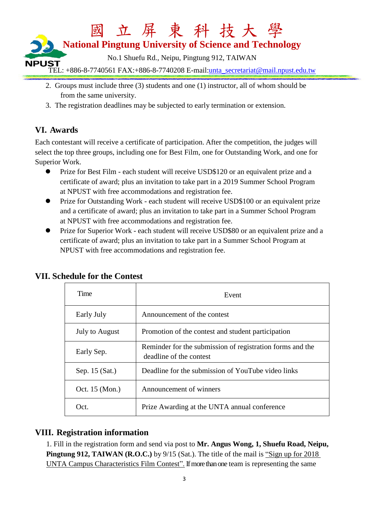

- 2. Groups must include three (3) students and one (1) instructor, all of whom should be from the same university.
- 3. The registration deadlines may be subjected to early termination or extension.

## **VI. Awards**

Each contestant will receive a certificate of participation. After the competition, the judges will select the top three groups, including one for Best Film, one for Outstanding Work, and one for Superior Work.

- Prize for Best Film each student will receive USD\$120 or an equivalent prize and a certificate of award; plus an invitation to take part in a 2019 Summer School Program at NPUST with free accommodations and registration fee.
- Prize for Outstanding Work each student will receive USD\$100 or an equivalent prize and a certificate of award; plus an invitation to take part in a Summer School Program at NPUST with free accommodations and registration fee.
- **•** Prize for Superior Work each student will receive USD\$80 or an equivalent prize and a certificate of award; plus an invitation to take part in a Summer School Program at NPUST with free accommodations and registration fee.

| Time           | Event                                                                                |
|----------------|--------------------------------------------------------------------------------------|
| Early July     | Announcement of the contest                                                          |
| July to August | Promotion of the contest and student participation                                   |
| Early Sep.     | Reminder for the submission of registration forms and the<br>deadline of the contest |
| Sep. 15 (Sat.) | Deadline for the submission of YouTube video links                                   |
| Oct. 15 (Mon.) | Announcement of winners                                                              |
| Oct.           | Prize Awarding at the UNTA annual conference                                         |

#### **VII. Schedule for the Contest**

#### **VIII. Registration information**

1. Fill in the registration form and send via post to **Mr. Angus Wong, 1, Shuefu Road, Neipu, Pingtung 912, TAIWAN (R.O.C.)** by 9/15 (Sat.). The title of the mail is "Sign up for 2018 UNTA Campus Characteristics Film Contest". If more than one team is representing the same